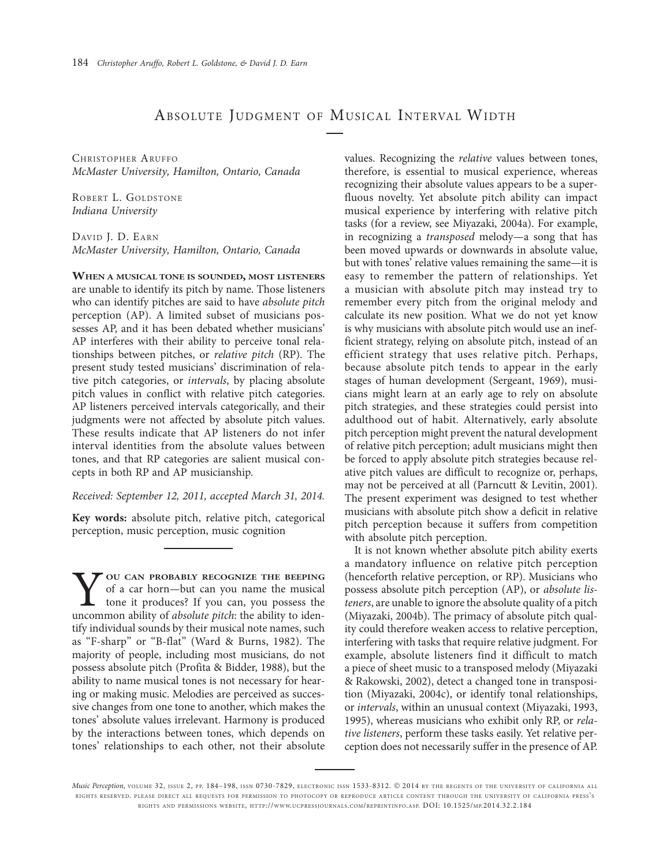# ABSOLUTE JUDGMENT OF MUSICAL INTERVAL WIDTH

CHRISTOPHER ARUFFO McMaster University, Hamilton, Ontario, Canada

ROBERT L. GOLDSTONE Indiana University

DAVID J. D. EARN McMaster University, Hamilton, Ontario, Canada

WHEN A MUSICAL TONE IS SOUNDED, MOST LISTENERS are unable to identify its pitch by name. Those listeners who can identify pitches are said to have *absolute pitch* perception (AP). A limited subset of musicians possesses AP, and it has been debated whether musicians' AP interferes with their ability to perceive tonal relationships between pitches, or relative pitch (RP). The present study tested musicians' discrimination of relative pitch categories, or intervals, by placing absolute pitch values in conflict with relative pitch categories. AP listeners perceived intervals categorically, and their judgments were not affected by absolute pitch values. These results indicate that AP listeners do not infer interval identities from the absolute values between tones, and that RP categories are salient musical concepts in both RP and AP musicianship.

Received: September 12, 2011, accepted March 31, 2014.

Key words: absolute pitch, relative pitch, categorical perception, music perception, music cognition

**Y** OU CAN PROBABLY RECOGNIZE THE BEEPING of a car horn—but can you name the musical tone it produces? If you can, you possess the uncommon ability of *absolute pitch*: the ability to idenof a car horn—but can you name the musical tone it produces? If you can, you possess the uncommon ability of absolute pitch: the ability to identify individual sounds by their musical note names, such as ''F-sharp'' or ''B-flat'' (Ward & Burns, 1982). The majority of people, including most musicians, do not possess absolute pitch (Profita & Bidder, 1988), but the ability to name musical tones is not necessary for hearing or making music. Melodies are perceived as successive changes from one tone to another, which makes the tones' absolute values irrelevant. Harmony is produced by the interactions between tones, which depends on tones' relationships to each other, not their absolute

values. Recognizing the relative values between tones, therefore, is essential to musical experience, whereas recognizing their absolute values appears to be a superfluous novelty. Yet absolute pitch ability can impact musical experience by interfering with relative pitch tasks (for a review, see Miyazaki, 2004a). For example, in recognizing a transposed melody—a song that has been moved upwards or downwards in absolute value, but with tones' relative values remaining the same—it is easy to remember the pattern of relationships. Yet a musician with absolute pitch may instead try to remember every pitch from the original melody and calculate its new position. What we do not yet know is why musicians with absolute pitch would use an inefficient strategy, relying on absolute pitch, instead of an efficient strategy that uses relative pitch. Perhaps, because absolute pitch tends to appear in the early stages of human development (Sergeant, 1969), musicians might learn at an early age to rely on absolute pitch strategies, and these strategies could persist into adulthood out of habit. Alternatively, early absolute pitch perception might prevent the natural development of relative pitch perception; adult musicians might then be forced to apply absolute pitch strategies because relative pitch values are difficult to recognize or, perhaps, may not be perceived at all (Parncutt & Levitin, 2001). The present experiment was designed to test whether musicians with absolute pitch show a deficit in relative pitch perception because it suffers from competition with absolute pitch perception.

It is not known whether absolute pitch ability exerts a mandatory influence on relative pitch perception (henceforth relative perception, or RP). Musicians who possess absolute pitch perception (AP), or absolute listeners, are unable to ignore the absolute quality of a pitch (Miyazaki, 2004b). The primacy of absolute pitch quality could therefore weaken access to relative perception, interfering with tasks that require relative judgment. For example, absolute listeners find it difficult to match a piece of sheet music to a transposed melody (Miyazaki & Rakowski, 2002), detect a changed tone in transposition (Miyazaki, 2004c), or identify tonal relationships, or intervals, within an unusual context (Miyazaki, 1993, 1995), whereas musicians who exhibit only RP, or relative listeners, perform these tasks easily. Yet relative perception does not necessarily suffer in the presence of AP.

Music Perception, VOLUME 32, ISSUE 2, PP. 184-198, ISSN 0730-7829, ELECTRONIC ISSN 1533-8312. @ 2014 BY THE REGENTS OF THE UNIVERSITY OF CALIFORNIA ALL RIGHTS RESERVED. PLEASE DIRECT ALL REQUESTS FOR PERMISSION TO PHOTOCOPY OR REPRODUCE ARTICLE CONTENT THROUGH THE UNIVERSITY OF CALIFORNIA PRESS'S RIGHTS AND PERMISSIONS WEBSITE, HTTP://WWW.UCPRESSJOURNALS.COM/REPRINTINFO.ASP. DOI: 10.1525/MP.2014.32.2.184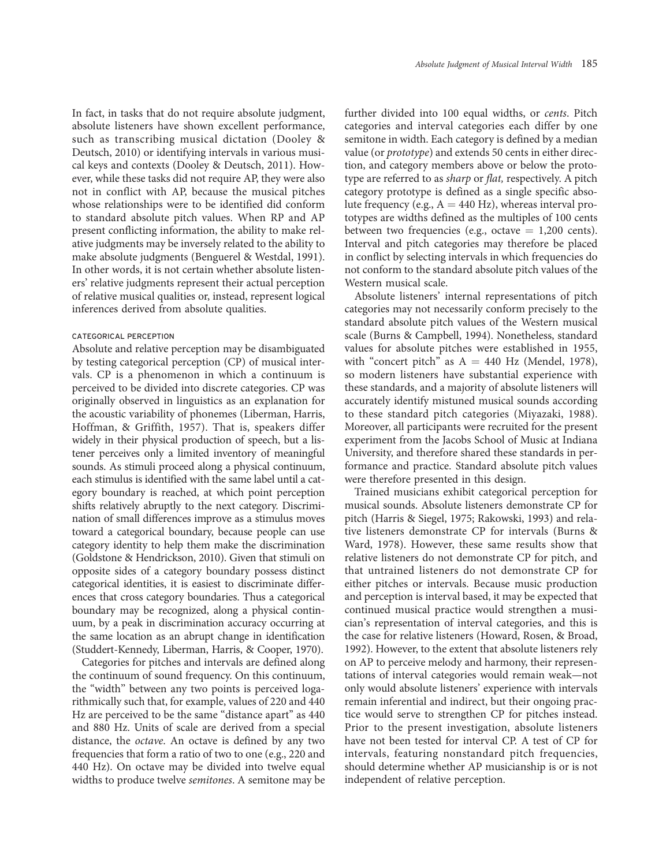In fact, in tasks that do not require absolute judgment, absolute listeners have shown excellent performance, such as transcribing musical dictation (Dooley & Deutsch, 2010) or identifying intervals in various musical keys and contexts (Dooley & Deutsch, 2011). However, while these tasks did not require AP, they were also not in conflict with AP, because the musical pitches whose relationships were to be identified did conform to standard absolute pitch values. When RP and AP present conflicting information, the ability to make relative judgments may be inversely related to the ability to make absolute judgments (Benguerel & Westdal, 1991). In other words, it is not certain whether absolute listeners' relative judgments represent their actual perception of relative musical qualities or, instead, represent logical inferences derived from absolute qualities.

# CATEGORICAL PERCEPTION

Absolute and relative perception may be disambiguated by testing categorical perception (CP) of musical intervals. CP is a phenomenon in which a continuum is perceived to be divided into discrete categories. CP was originally observed in linguistics as an explanation for the acoustic variability of phonemes (Liberman, Harris, Hoffman, & Griffith, 1957). That is, speakers differ widely in their physical production of speech, but a listener perceives only a limited inventory of meaningful sounds. As stimuli proceed along a physical continuum, each stimulus is identified with the same label until a category boundary is reached, at which point perception shifts relatively abruptly to the next category. Discrimination of small differences improve as a stimulus moves toward a categorical boundary, because people can use category identity to help them make the discrimination (Goldstone & Hendrickson, 2010). Given that stimuli on opposite sides of a category boundary possess distinct categorical identities, it is easiest to discriminate differences that cross category boundaries. Thus a categorical boundary may be recognized, along a physical continuum, by a peak in discrimination accuracy occurring at the same location as an abrupt change in identification (Studdert-Kennedy, Liberman, Harris, & Cooper, 1970).

Categories for pitches and intervals are defined along the continuum of sound frequency. On this continuum, the ''width'' between any two points is perceived logarithmically such that, for example, values of 220 and 440 Hz are perceived to be the same "distance apart" as 440 and 880 Hz. Units of scale are derived from a special distance, the octave. An octave is defined by any two frequencies that form a ratio of two to one (e.g., 220 and 440 Hz). On octave may be divided into twelve equal widths to produce twelve semitones. A semitone may be

further divided into 100 equal widths, or cents. Pitch categories and interval categories each differ by one semitone in width. Each category is defined by a median value (or prototype) and extends 50 cents in either direction, and category members above or below the prototype are referred to as sharp or flat, respectively. A pitch category prototype is defined as a single specific absolute frequency (e.g.,  $A = 440$  Hz), whereas interval prototypes are widths defined as the multiples of 100 cents between two frequencies (e.g., octave  $= 1,200$  cents). Interval and pitch categories may therefore be placed in conflict by selecting intervals in which frequencies do not conform to the standard absolute pitch values of the Western musical scale.

Absolute listeners' internal representations of pitch categories may not necessarily conform precisely to the standard absolute pitch values of the Western musical scale (Burns & Campbell, 1994). Nonetheless, standard values for absolute pitches were established in 1955, with "concert pitch" as  $A = 440$  Hz (Mendel, 1978), so modern listeners have substantial experience with these standards, and a majority of absolute listeners will accurately identify mistuned musical sounds according to these standard pitch categories (Miyazaki, 1988). Moreover, all participants were recruited for the present experiment from the Jacobs School of Music at Indiana University, and therefore shared these standards in performance and practice. Standard absolute pitch values were therefore presented in this design.

Trained musicians exhibit categorical perception for musical sounds. Absolute listeners demonstrate CP for pitch (Harris & Siegel, 1975; Rakowski, 1993) and relative listeners demonstrate CP for intervals (Burns & Ward, 1978). However, these same results show that relative listeners do not demonstrate CP for pitch, and that untrained listeners do not demonstrate CP for either pitches or intervals. Because music production and perception is interval based, it may be expected that continued musical practice would strengthen a musician's representation of interval categories, and this is the case for relative listeners (Howard, Rosen, & Broad, 1992). However, to the extent that absolute listeners rely on AP to perceive melody and harmony, their representations of interval categories would remain weak—not only would absolute listeners' experience with intervals remain inferential and indirect, but their ongoing practice would serve to strengthen CP for pitches instead. Prior to the present investigation, absolute listeners have not been tested for interval CP. A test of CP for intervals, featuring nonstandard pitch frequencies, should determine whether AP musicianship is or is not independent of relative perception.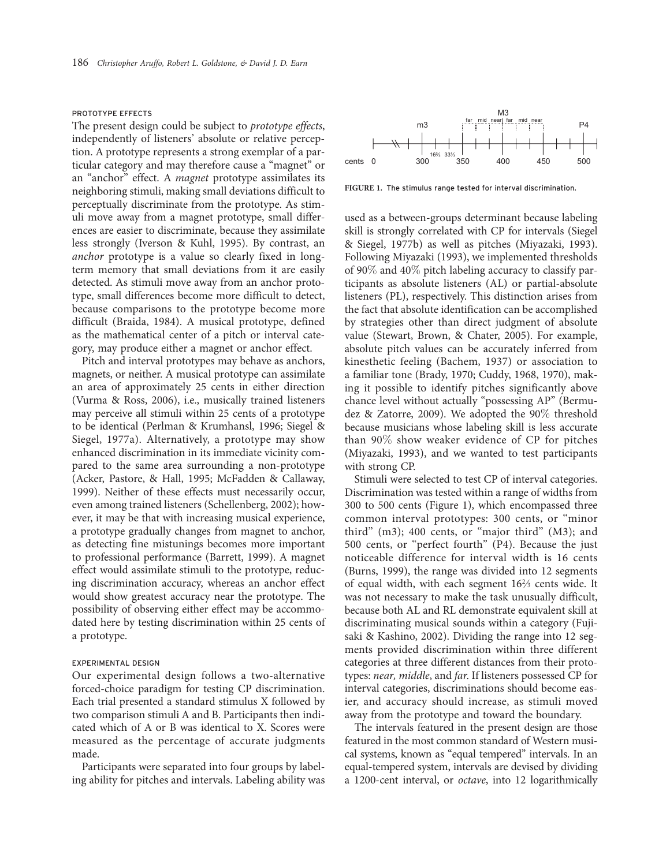## PROTOTYPE EFFECTS

The present design could be subject to prototype effects, independently of listeners' absolute or relative perception. A prototype represents a strong exemplar of a particular category and may therefore cause a ''magnet'' or an "anchor" effect. A *magnet* prototype assimilates its neighboring stimuli, making small deviations difficult to perceptually discriminate from the prototype. As stimuli move away from a magnet prototype, small differences are easier to discriminate, because they assimilate less strongly (Iverson & Kuhl, 1995). By contrast, an anchor prototype is a value so clearly fixed in longterm memory that small deviations from it are easily detected. As stimuli move away from an anchor prototype, small differences become more difficult to detect, because comparisons to the prototype become more difficult (Braida, 1984). A musical prototype, defined as the mathematical center of a pitch or interval category, may produce either a magnet or anchor effect.

Pitch and interval prototypes may behave as anchors, magnets, or neither. A musical prototype can assimilate an area of approximately 25 cents in either direction (Vurma & Ross, 2006), i.e., musically trained listeners may perceive all stimuli within 25 cents of a prototype to be identical (Perlman & Krumhansl, 1996; Siegel & Siegel, 1977a). Alternatively, a prototype may show enhanced discrimination in its immediate vicinity compared to the same area surrounding a non-prototype (Acker, Pastore, & Hall, 1995; McFadden & Callaway, 1999). Neither of these effects must necessarily occur, even among trained listeners (Schellenberg, 2002); however, it may be that with increasing musical experience, a prototype gradually changes from magnet to anchor, as detecting fine mistunings becomes more important to professional performance (Barrett, 1999). A magnet effect would assimilate stimuli to the prototype, reducing discrimination accuracy, whereas an anchor effect would show greatest accuracy near the prototype. The possibility of observing either effect may be accommodated here by testing discrimination within 25 cents of a prototype.

#### EXPERIMENTAL DESIGN

Our experimental design follows a two-alternative forced-choice paradigm for testing CP discrimination. Each trial presented a standard stimulus X followed by two comparison stimuli A and B. Participants then indicated which of A or B was identical to X. Scores were measured as the percentage of accurate judgments made.

Participants were separated into four groups by labeling ability for pitches and intervals. Labeling ability was



FIGURE 1. The stimulus range tested for interval discrimination.

used as a between-groups determinant because labeling skill is strongly correlated with CP for intervals (Siegel & Siegel, 1977b) as well as pitches (Miyazaki, 1993). Following Miyazaki (1993), we implemented thresholds of 90% and 40% pitch labeling accuracy to classify participants as absolute listeners (AL) or partial-absolute listeners (PL), respectively. This distinction arises from the fact that absolute identification can be accomplished by strategies other than direct judgment of absolute value (Stewart, Brown, & Chater, 2005). For example, absolute pitch values can be accurately inferred from kinesthetic feeling (Bachem, 1937) or association to a familiar tone (Brady, 1970; Cuddy, 1968, 1970), making it possible to identify pitches significantly above chance level without actually "possessing AP" (Bermudez & Zatorre, 2009). We adopted the 90% threshold because musicians whose labeling skill is less accurate than 90% show weaker evidence of CP for pitches (Miyazaki, 1993), and we wanted to test participants with strong CP.

Stimuli were selected to test CP of interval categories. Discrimination was tested within a range of widths from 300 to 500 cents (Figure 1), which encompassed three common interval prototypes: 300 cents, or ''minor third"  $(m3)$ ; 400 cents, or "major third"  $(M3)$ ; and 500 cents, or ''perfect fourth'' (P4). Because the just noticeable difference for interval width is 16 cents (Burns, 1999), the range was divided into 12 segments of equal width, with each segment  $16\frac{2}{3}$  cents wide. It was not necessary to make the task unusually difficult, because both AL and RL demonstrate equivalent skill at discriminating musical sounds within a category (Fujisaki & Kashino, 2002). Dividing the range into 12 segments provided discrimination within three different categories at three different distances from their prototypes: near, middle, and far. If listeners possessed CP for interval categories, discriminations should become easier, and accuracy should increase, as stimuli moved away from the prototype and toward the boundary.

The intervals featured in the present design are those featured in the most common standard of Western musical systems, known as ''equal tempered'' intervals. In an equal-tempered system, intervals are devised by dividing a 1200-cent interval, or octave, into 12 logarithmically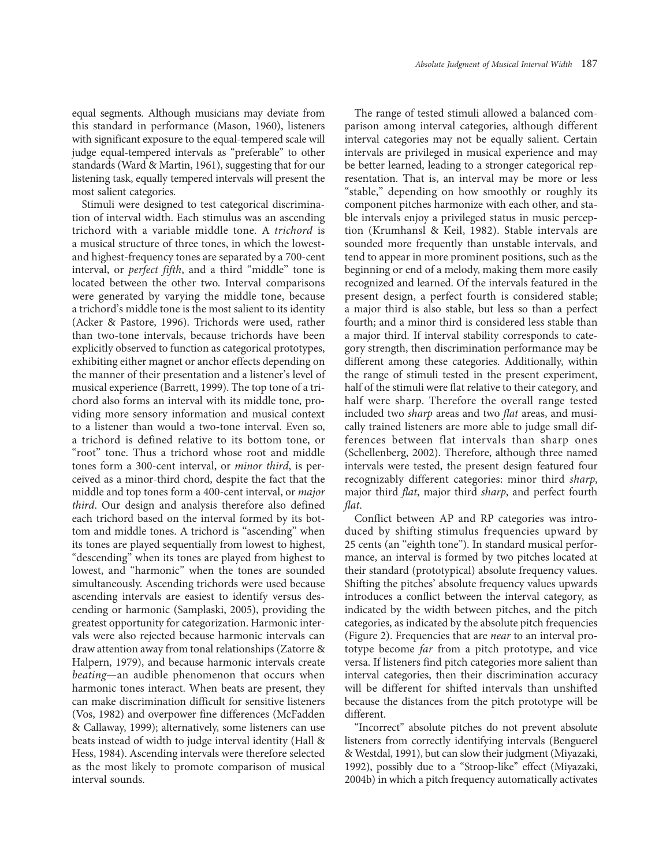equal segments. Although musicians may deviate from this standard in performance (Mason, 1960), listeners with significant exposure to the equal-tempered scale will judge equal-tempered intervals as ''preferable'' to other standards (Ward & Martin, 1961), suggesting that for our listening task, equally tempered intervals will present the most salient categories.

Stimuli were designed to test categorical discrimination of interval width. Each stimulus was an ascending trichord with a variable middle tone. A trichord is a musical structure of three tones, in which the lowestand highest-frequency tones are separated by a 700-cent interval, or *perfect fifth*, and a third "middle" tone is located between the other two. Interval comparisons were generated by varying the middle tone, because a trichord's middle tone is the most salient to its identity (Acker & Pastore, 1996). Trichords were used, rather than two-tone intervals, because trichords have been explicitly observed to function as categorical prototypes, exhibiting either magnet or anchor effects depending on the manner of their presentation and a listener's level of musical experience (Barrett, 1999). The top tone of a trichord also forms an interval with its middle tone, providing more sensory information and musical context to a listener than would a two-tone interval. Even so, a trichord is defined relative to its bottom tone, or "root" tone. Thus a trichord whose root and middle tones form a 300-cent interval, or minor third, is perceived as a minor-third chord, despite the fact that the middle and top tones form a 400-cent interval, or major third. Our design and analysis therefore also defined each trichord based on the interval formed by its bottom and middle tones. A trichord is "ascending" when its tones are played sequentially from lowest to highest, "descending" when its tones are played from highest to lowest, and ''harmonic'' when the tones are sounded simultaneously. Ascending trichords were used because ascending intervals are easiest to identify versus descending or harmonic (Samplaski, 2005), providing the greatest opportunity for categorization. Harmonic intervals were also rejected because harmonic intervals can draw attention away from tonal relationships (Zatorre & Halpern, 1979), and because harmonic intervals create beating—an audible phenomenon that occurs when harmonic tones interact. When beats are present, they can make discrimination difficult for sensitive listeners (Vos, 1982) and overpower fine differences (McFadden & Callaway, 1999); alternatively, some listeners can use beats instead of width to judge interval identity (Hall & Hess, 1984). Ascending intervals were therefore selected as the most likely to promote comparison of musical interval sounds.

The range of tested stimuli allowed a balanced comparison among interval categories, although different interval categories may not be equally salient. Certain intervals are privileged in musical experience and may be better learned, leading to a stronger categorical representation. That is, an interval may be more or less "stable," depending on how smoothly or roughly its component pitches harmonize with each other, and stable intervals enjoy a privileged status in music perception (Krumhansl & Keil, 1982). Stable intervals are sounded more frequently than unstable intervals, and tend to appear in more prominent positions, such as the beginning or end of a melody, making them more easily recognized and learned. Of the intervals featured in the present design, a perfect fourth is considered stable; a major third is also stable, but less so than a perfect fourth; and a minor third is considered less stable than a major third. If interval stability corresponds to category strength, then discrimination performance may be different among these categories. Additionally, within the range of stimuli tested in the present experiment, half of the stimuli were flat relative to their category, and half were sharp. Therefore the overall range tested included two sharp areas and two flat areas, and musically trained listeners are more able to judge small differences between flat intervals than sharp ones (Schellenberg, 2002). Therefore, although three named intervals were tested, the present design featured four recognizably different categories: minor third sharp, major third *flat*, major third *sharp*, and perfect fourth flat.

Conflict between AP and RP categories was introduced by shifting stimulus frequencies upward by 25 cents (an "eighth tone"). In standard musical performance, an interval is formed by two pitches located at their standard (prototypical) absolute frequency values. Shifting the pitches' absolute frequency values upwards introduces a conflict between the interval category, as indicated by the width between pitches, and the pitch categories, as indicated by the absolute pitch frequencies (Figure 2). Frequencies that are near to an interval prototype become far from a pitch prototype, and vice versa. If listeners find pitch categories more salient than interval categories, then their discrimination accuracy will be different for shifted intervals than unshifted because the distances from the pitch prototype will be different.

"Incorrect" absolute pitches do not prevent absolute listeners from correctly identifying intervals (Benguerel & Westdal, 1991), but can slow their judgment (Miyazaki, 1992), possibly due to a ''Stroop-like'' effect (Miyazaki, 2004b) in which a pitch frequency automatically activates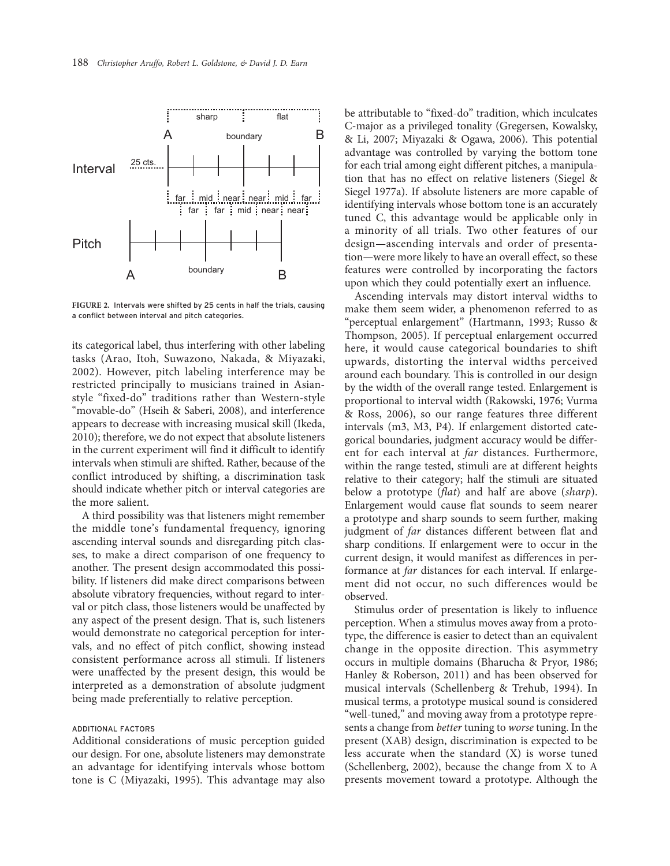

FIGURE 2. Intervals were shifted by 25 cents in half the trials, causing a conflict between interval and pitch categories.

its categorical label, thus interfering with other labeling tasks (Arao, Itoh, Suwazono, Nakada, & Miyazaki, 2002). However, pitch labeling interference may be restricted principally to musicians trained in Asianstyle ''fixed-do'' traditions rather than Western-style "movable-do" (Hseih & Saberi, 2008), and interference appears to decrease with increasing musical skill (Ikeda, 2010); therefore, we do not expect that absolute listeners in the current experiment will find it difficult to identify intervals when stimuli are shifted. Rather, because of the conflict introduced by shifting, a discrimination task should indicate whether pitch or interval categories are the more salient.

A third possibility was that listeners might remember the middle tone's fundamental frequency, ignoring ascending interval sounds and disregarding pitch classes, to make a direct comparison of one frequency to another. The present design accommodated this possibility. If listeners did make direct comparisons between absolute vibratory frequencies, without regard to interval or pitch class, those listeners would be unaffected by any aspect of the present design. That is, such listeners would demonstrate no categorical perception for intervals, and no effect of pitch conflict, showing instead consistent performance across all stimuli. If listeners were unaffected by the present design, this would be interpreted as a demonstration of absolute judgment being made preferentially to relative perception.

# ADDITIONAL FACTORS

Additional considerations of music perception guided our design. For one, absolute listeners may demonstrate an advantage for identifying intervals whose bottom tone is C (Miyazaki, 1995). This advantage may also be attributable to "fixed-do" tradition, which inculcates C-major as a privileged tonality (Gregersen, Kowalsky, & Li, 2007; Miyazaki & Ogawa, 2006). This potential advantage was controlled by varying the bottom tone for each trial among eight different pitches, a manipulation that has no effect on relative listeners (Siegel & Siegel 1977a). If absolute listeners are more capable of identifying intervals whose bottom tone is an accurately tuned C, this advantage would be applicable only in a minority of all trials. Two other features of our design—ascending intervals and order of presentation—were more likely to have an overall effect, so these features were controlled by incorporating the factors upon which they could potentially exert an influence.

Ascending intervals may distort interval widths to make them seem wider, a phenomenon referred to as ''perceptual enlargement'' (Hartmann, 1993; Russo & Thompson, 2005). If perceptual enlargement occurred here, it would cause categorical boundaries to shift upwards, distorting the interval widths perceived around each boundary. This is controlled in our design by the width of the overall range tested. Enlargement is proportional to interval width (Rakowski, 1976; Vurma & Ross, 2006), so our range features three different intervals (m3, M3, P4). If enlargement distorted categorical boundaries, judgment accuracy would be different for each interval at far distances. Furthermore, within the range tested, stimuli are at different heights relative to their category; half the stimuli are situated below a prototype (*flat*) and half are above (*sharp*). Enlargement would cause flat sounds to seem nearer a prototype and sharp sounds to seem further, making judgment of *far* distances different between flat and sharp conditions. If enlargement were to occur in the current design, it would manifest as differences in performance at far distances for each interval. If enlargement did not occur, no such differences would be observed.

Stimulus order of presentation is likely to influence perception. When a stimulus moves away from a prototype, the difference is easier to detect than an equivalent change in the opposite direction. This asymmetry occurs in multiple domains (Bharucha & Pryor, 1986; Hanley & Roberson, 2011) and has been observed for musical intervals (Schellenberg & Trehub, 1994). In musical terms, a prototype musical sound is considered "well-tuned," and moving away from a prototype represents a change from better tuning to worse tuning. In the present (XAB) design, discrimination is expected to be less accurate when the standard (X) is worse tuned (Schellenberg, 2002), because the change from X to A presents movement toward a prototype. Although the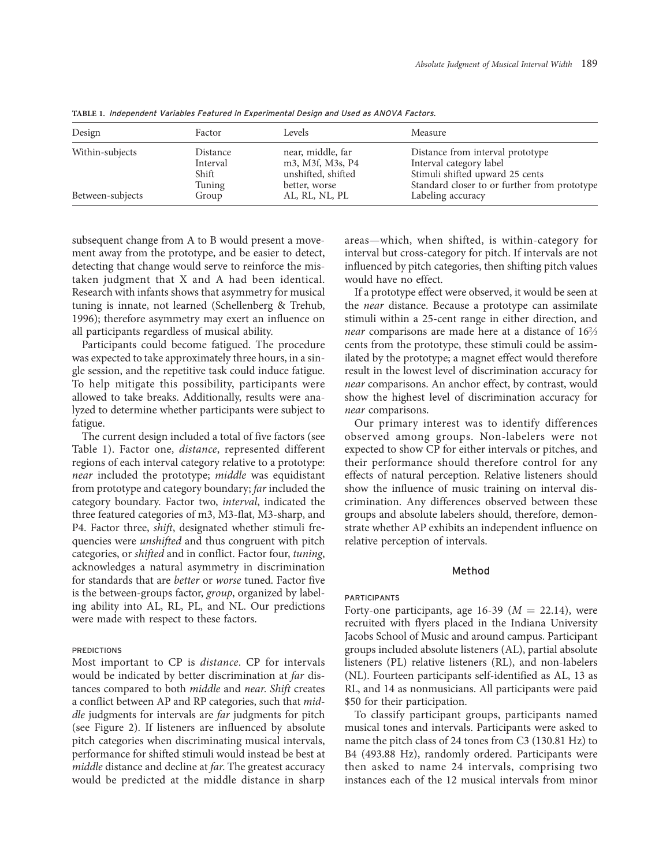| Design           | Factor                                  | Levels                                                                                                                          | Measure                                                                                                                                        |
|------------------|-----------------------------------------|---------------------------------------------------------------------------------------------------------------------------------|------------------------------------------------------------------------------------------------------------------------------------------------|
| Within-subjects  | Distance<br>Interval<br>Shift<br>Tuning | near, middle, far<br>m <sub>3</sub> , M <sub>3f</sub> , M <sub>3s</sub> , P <sub>4</sub><br>unshifted, shifted<br>better, worse | Distance from interval prototype<br>Interval category label<br>Stimuli shifted upward 25 cents<br>Standard closer to or further from prototype |
| Between-subjects | Group                                   | AL, RL, NL, PL                                                                                                                  | Labeling accuracy                                                                                                                              |

TABLE 1. Independent Variables Featured In Experimental Design and Used as ANOVA Factors.

subsequent change from A to B would present a movement away from the prototype, and be easier to detect, detecting that change would serve to reinforce the mistaken judgment that X and A had been identical. Research with infants shows that asymmetry for musical tuning is innate, not learned (Schellenberg & Trehub, 1996); therefore asymmetry may exert an influence on all participants regardless of musical ability.

Participants could become fatigued. The procedure was expected to take approximately three hours, in a single session, and the repetitive task could induce fatigue. To help mitigate this possibility, participants were allowed to take breaks. Additionally, results were analyzed to determine whether participants were subject to fatigue.

The current design included a total of five factors (see Table 1). Factor one, distance, represented different regions of each interval category relative to a prototype: near included the prototype; middle was equidistant from prototype and category boundary; far included the category boundary. Factor two, interval, indicated the three featured categories of m3, M3-flat, M3-sharp, and P4. Factor three, shift, designated whether stimuli frequencies were *unshifted* and thus congruent with pitch categories, or shifted and in conflict. Factor four, tuning, acknowledges a natural asymmetry in discrimination for standards that are better or worse tuned. Factor five is the between-groups factor, group, organized by labeling ability into AL, RL, PL, and NL. Our predictions were made with respect to these factors.

# PREDICTIONS

Most important to CP is distance. CP for intervals would be indicated by better discrimination at far distances compared to both middle and near. Shift creates a conflict between AP and RP categories, such that middle judgments for intervals are far judgments for pitch (see Figure 2). If listeners are influenced by absolute pitch categories when discriminating musical intervals, performance for shifted stimuli would instead be best at middle distance and decline at far. The greatest accuracy would be predicted at the middle distance in sharp

areas—which, when shifted, is within-category for interval but cross-category for pitch. If intervals are not influenced by pitch categories, then shifting pitch values would have no effect.

If a prototype effect were observed, it would be seen at the near distance. Because a prototype can assimilate stimuli within a 25-cent range in either direction, and *near* comparisons are made here at a distance of  $16\frac{2}{3}$ cents from the prototype, these stimuli could be assimilated by the prototype; a magnet effect would therefore result in the lowest level of discrimination accuracy for near comparisons. An anchor effect, by contrast, would show the highest level of discrimination accuracy for near comparisons.

Our primary interest was to identify differences observed among groups. Non-labelers were not expected to show CP for either intervals or pitches, and their performance should therefore control for any effects of natural perception. Relative listeners should show the influence of music training on interval discrimination. Any differences observed between these groups and absolute labelers should, therefore, demonstrate whether AP exhibits an independent influence on relative perception of intervals.

## Method

## PARTICIPANTS

Forty-one participants, age 16-39 ( $M = 22.14$ ), were recruited with flyers placed in the Indiana University Jacobs School of Music and around campus. Participant groups included absolute listeners (AL), partial absolute listeners (PL) relative listeners (RL), and non-labelers (NL). Fourteen participants self-identified as AL, 13 as RL, and 14 as nonmusicians. All participants were paid \$50 for their participation.

To classify participant groups, participants named musical tones and intervals. Participants were asked to name the pitch class of 24 tones from C3 (130.81 Hz) to B4 (493.88 Hz), randomly ordered. Participants were then asked to name 24 intervals, comprising two instances each of the 12 musical intervals from minor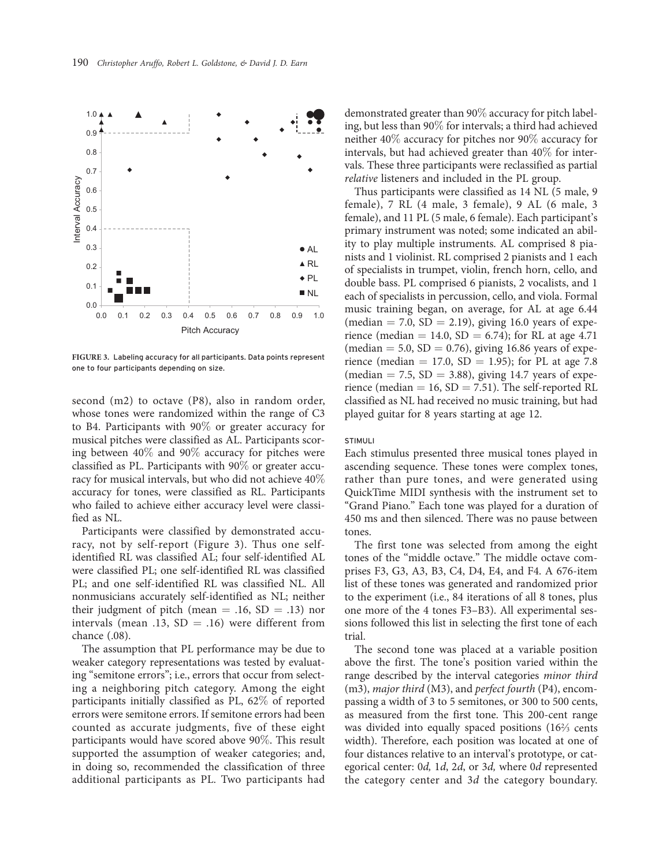

FIGURE 3. Labeling accuracy for all participants. Data points represent one to four participants depending on size.

second (m2) to octave (P8), also in random order, whose tones were randomized within the range of C3 to B4. Participants with 90% or greater accuracy for musical pitches were classified as AL. Participants scoring between 40% and 90% accuracy for pitches were classified as PL. Participants with 90% or greater accuracy for musical intervals, but who did not achieve 40% accuracy for tones, were classified as RL. Participants who failed to achieve either accuracy level were classified as NL.

Participants were classified by demonstrated accuracy, not by self-report (Figure 3). Thus one selfidentified RL was classified AL; four self-identified AL were classified PL; one self-identified RL was classified PL; and one self-identified RL was classified NL. All nonmusicians accurately self-identified as NL; neither their judgment of pitch (mean  $= .16$ , SD  $= .13$ ) nor intervals (mean .13,  $SD = .16$ ) were different from chance (.08).

The assumption that PL performance may be due to weaker category representations was tested by evaluating "semitone errors"; i.e., errors that occur from selecting a neighboring pitch category. Among the eight participants initially classified as PL, 62% of reported errors were semitone errors. If semitone errors had been counted as accurate judgments, five of these eight participants would have scored above 90%. This result supported the assumption of weaker categories; and, in doing so, recommended the classification of three additional participants as PL. Two participants had

demonstrated greater than 90% accuracy for pitch labeling, but less than 90% for intervals; a third had achieved neither 40% accuracy for pitches nor 90% accuracy for intervals, but had achieved greater than 40% for intervals. These three participants were reclassified as partial relative listeners and included in the PL group.

Thus participants were classified as 14 NL (5 male, 9 female), 7 RL (4 male, 3 female), 9 AL (6 male, 3 female), and 11 PL (5 male, 6 female). Each participant's primary instrument was noted; some indicated an ability to play multiple instruments. AL comprised 8 pianists and 1 violinist. RL comprised 2 pianists and 1 each of specialists in trumpet, violin, french horn, cello, and double bass. PL comprised 6 pianists, 2 vocalists, and 1 each of specialists in percussion, cello, and viola. Formal music training began, on average, for AL at age 6.44 (median  $= 7.0$ , SD  $= 2.19$ ), giving 16.0 years of experience (median = 14.0,  $SD = 6.74$ ); for RL at age 4.71 (median  $= 5.0$ , SD  $= 0.76$ ), giving 16.86 years of experience (median  $= 17.0$ , SD  $= 1.95$ ); for PL at age 7.8 (median  $= 7.5$ , SD  $= 3.88$ ), giving 14.7 years of experience (median  $= 16$ , SD  $= 7.51$ ). The self-reported RL classified as NL had received no music training, but had played guitar for 8 years starting at age 12.

#### STIMULI

Each stimulus presented three musical tones played in ascending sequence. These tones were complex tones, rather than pure tones, and were generated using QuickTime MIDI synthesis with the instrument set to ''Grand Piano.'' Each tone was played for a duration of 450 ms and then silenced. There was no pause between tones.

The first tone was selected from among the eight tones of the "middle octave." The middle octave comprises F3, G3, A3, B3, C4, D4, E4, and F4. A 676-item list of these tones was generated and randomized prior to the experiment (i.e., 84 iterations of all 8 tones, plus one more of the 4 tones F3–B3). All experimental sessions followed this list in selecting the first tone of each trial.

The second tone was placed at a variable position above the first. The tone's position varied within the range described by the interval categories minor third  $(m3)$ , *major third* (M3), and *perfect fourth* (P4), encompassing a width of 3 to 5 semitones, or 300 to 500 cents, as measured from the first tone. This 200-cent range was divided into equally spaced positions  $(16\frac{2}{3}$  cents width). Therefore, each position was located at one of four distances relative to an interval's prototype, or categorical center: 0d, 1d, 2d, or 3d, where 0d represented the category center and 3d the category boundary.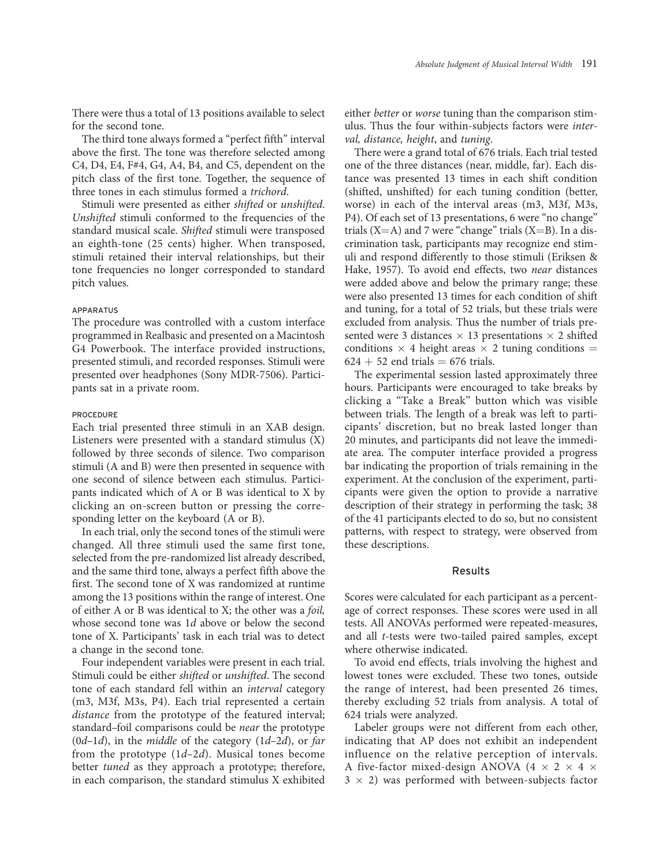There were thus a total of 13 positions available to select for the second tone.

The third tone always formed a "perfect fifth" interval above the first. The tone was therefore selected among C4, D4, E4, F#4, G4, A4, B4, and C5, dependent on the pitch class of the first tone. Together, the sequence of three tones in each stimulus formed a trichord.

Stimuli were presented as either shifted or unshifted. Unshifted stimuli conformed to the frequencies of the standard musical scale. Shifted stimuli were transposed an eighth-tone (25 cents) higher. When transposed, stimuli retained their interval relationships, but their tone frequencies no longer corresponded to standard pitch values.

### APPARATUS

The procedure was controlled with a custom interface programmed in Realbasic and presented on a Macintosh G4 Powerbook. The interface provided instructions, presented stimuli, and recorded responses. Stimuli were presented over headphones (Sony MDR-7506). Participants sat in a private room.

# PROCEDURE

Each trial presented three stimuli in an XAB design. Listeners were presented with a standard stimulus (X) followed by three seconds of silence. Two comparison stimuli (A and B) were then presented in sequence with one second of silence between each stimulus. Participants indicated which of A or B was identical to X by clicking an on-screen button or pressing the corresponding letter on the keyboard (A or B).

In each trial, only the second tones of the stimuli were changed. All three stimuli used the same first tone, selected from the pre-randomized list already described, and the same third tone, always a perfect fifth above the first. The second tone of X was randomized at runtime among the 13 positions within the range of interest. One of either A or B was identical to X; the other was a foil, whose second tone was 1d above or below the second tone of X. Participants' task in each trial was to detect a change in the second tone.

Four independent variables were present in each trial. Stimuli could be either shifted or unshifted. The second tone of each standard fell within an interval category (m3, M3f, M3s, P4). Each trial represented a certain distance from the prototype of the featured interval; standard–foil comparisons could be near the prototype  $(0d-1d)$ , in the *middle* of the category  $(1d-2d)$ , or far from the prototype  $(1d-2d)$ . Musical tones become better tuned as they approach a prototype; therefore, in each comparison, the standard stimulus X exhibited

either better or worse tuning than the comparison stimulus. Thus the four within-subjects factors were interval, distance, height, and tuning.

There were a grand total of 676 trials. Each trial tested one of the three distances (near, middle, far). Each distance was presented 13 times in each shift condition (shifted, unshifted) for each tuning condition (better, worse) in each of the interval areas (m3, M3f, M3s, P4). Of each set of 13 presentations, 6 were "no change" trials  $(X=A)$  and 7 were "change" trials  $(X=B)$ . In a discrimination task, participants may recognize end stimuli and respond differently to those stimuli (Eriksen & Hake, 1957). To avoid end effects, two near distances were added above and below the primary range; these were also presented 13 times for each condition of shift and tuning, for a total of 52 trials, but these trials were excluded from analysis. Thus the number of trials presented were 3 distances  $\times$  13 presentations  $\times$  2 shifted conditions  $\times$  4 height areas  $\times$  2 tuning conditions =  $624 + 52$  end trials = 676 trials.

The experimental session lasted approximately three hours. Participants were encouraged to take breaks by clicking a ''Take a Break'' button which was visible between trials. The length of a break was left to participants' discretion, but no break lasted longer than 20 minutes, and participants did not leave the immediate area. The computer interface provided a progress bar indicating the proportion of trials remaining in the experiment. At the conclusion of the experiment, participants were given the option to provide a narrative description of their strategy in performing the task; 38 of the 41 participants elected to do so, but no consistent patterns, with respect to strategy, were observed from these descriptions.

## Results

Scores were calculated for each participant as a percentage of correct responses. These scores were used in all tests. All ANOVAs performed were repeated-measures, and all t-tests were two-tailed paired samples, except where otherwise indicated.

To avoid end effects, trials involving the highest and lowest tones were excluded. These two tones, outside the range of interest, had been presented 26 times, thereby excluding 52 trials from analysis. A total of 624 trials were analyzed.

Labeler groups were not different from each other, indicating that AP does not exhibit an independent influence on the relative perception of intervals. A five-factor mixed-design ANOVA (4  $\times$  2  $\times$  4  $\times$  $3 \times 2$ ) was performed with between-subjects factor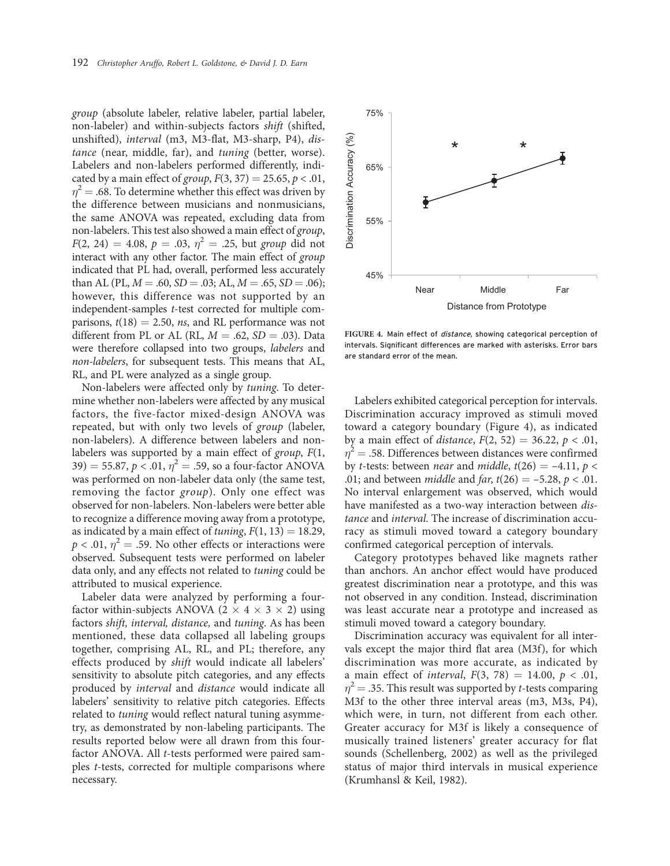group (absolute labeler, relative labeler, partial labeler, non-labeler) and within-subjects factors shift (shifted, unshifted), interval (m3, M3-flat, M3-sharp, P4), distance (near, middle, far), and tuning (better, worse). Labelers and non-labelers performed differently, indicated by a main effect of group,  $F(3, 37) = 25.65$ ,  $p < .01$ ,  $\eta^2$  = .68. To determine whether this effect was driven by the difference between musicians and nonmusicians, the same ANOVA was repeated, excluding data from non-labelers. This test also showed a main effect of group,  $F(2, 24) = 4.08, p = .03, \eta^2 = .25$ , but group did not interact with any other factor. The main effect of group indicated that PL had, overall, performed less accurately than AL (PL,  $M = .60$ ,  $SD = .03$ ; AL,  $M = .65$ ,  $SD = .06$ ); however, this difference was not supported by an independent-samples t-test corrected for multiple comparisons,  $t(18) = 2.50$ , *ns*, and RL performance was not different from PL or AL (RL,  $M = .62$ , SD = .03). Data were therefore collapsed into two groups, labelers and non-labelers, for subsequent tests. This means that AL, RL, and PL were analyzed as a single group.

Non-labelers were affected only by tuning. To determine whether non-labelers were affected by any musical factors, the five-factor mixed-design ANOVA was repeated, but with only two levels of group (labeler, non-labelers). A difference between labelers and nonlabelers was supported by a main effect of group,  $F(1, 1)$ 39) = 55.87,  $p < 0.01$ ,  $\eta^2 = .59$ , so a four-factor ANOVA was performed on non-labeler data only (the same test, removing the factor group). Only one effect was observed for non-labelers. Non-labelers were better able to recognize a difference moving away from a prototype, as indicated by a main effect of tuning,  $F(1, 13) = 18.29$ ,  $p < .01$ ,  $\eta^2 = .59$ . No other effects or interactions were observed. Subsequent tests were performed on labeler data only, and any effects not related to tuning could be attributed to musical experience.

Labeler data were analyzed by performing a fourfactor within-subjects ANOVA (2  $\times$  4  $\times$  3  $\times$  2) using factors shift, interval, distance, and tuning. As has been mentioned, these data collapsed all labeling groups together, comprising AL, RL, and PL; therefore, any effects produced by shift would indicate all labelers' sensitivity to absolute pitch categories, and any effects produced by interval and distance would indicate all labelers' sensitivity to relative pitch categories. Effects related to tuning would reflect natural tuning asymmetry, as demonstrated by non-labeling participants. The results reported below were all drawn from this fourfactor ANOVA. All t-tests performed were paired samples t-tests, corrected for multiple comparisons where necessary.



FIGURE 4. Main effect of distance, showing categorical perception of intervals. Significant differences are marked with asterisks. Error bars are standard error of the mean.

Labelers exhibited categorical perception for intervals. Discrimination accuracy improved as stimuli moved toward a category boundary (Figure 4), as indicated by a main effect of *distance*,  $F(2, 52) = 36.22, p < .01$ ,  $\eta^2$  = .58. Differences between distances were confirmed by *t*-tests: between *near* and *middle*,  $t(26) = -4.11$ ,  $p <$ .01; and between *middle* and *far*,  $t(26) = -5.28$ ,  $p < .01$ . No interval enlargement was observed, which would have manifested as a two-way interaction between *dis*tance and interval. The increase of discrimination accuracy as stimuli moved toward a category boundary confirmed categorical perception of intervals.

Category prototypes behaved like magnets rather than anchors. An anchor effect would have produced greatest discrimination near a prototype, and this was not observed in any condition. Instead, discrimination was least accurate near a prototype and increased as stimuli moved toward a category boundary.

Discrimination accuracy was equivalent for all intervals except the major third flat area (M3f), for which discrimination was more accurate, as indicated by a main effect of *interval*,  $F(3, 78) = 14.00, p < .01$ ,  $\eta^2$  = .35. This result was supported by t-tests comparing M3f to the other three interval areas (m3, M3s, P4), which were, in turn, not different from each other. Greater accuracy for M3f is likely a consequence of musically trained listeners' greater accuracy for flat sounds (Schellenberg, 2002) as well as the privileged status of major third intervals in musical experience (Krumhansl & Keil, 1982).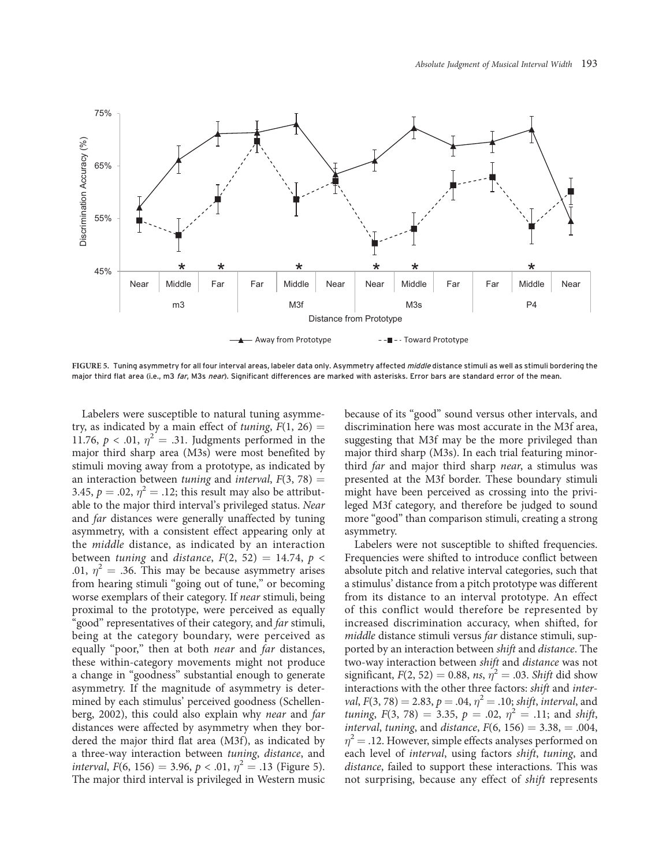

FIGURE 5. Tuning asymmetry for all four interval areas, labeler data only. Asymmetry affected middle distance stimuli as well as stimuli bordering the major third flat area (i.e., m3 far, M3s near). Significant differences are marked with asterisks. Error bars are standard error of the mean.

Labelers were susceptible to natural tuning asymmetry, as indicated by a main effect of *tuning*,  $F(1, 26) =$ 11.76,  $p < .01$ ,  $\eta^2 = .31$ . Judgments performed in the major third sharp area (M3s) were most benefited by stimuli moving away from a prototype, as indicated by an interaction between *tuning* and *interval*,  $F(3, 78) =$ 3.45,  $p = .02$ ,  $\eta^2 = .12$ ; this result may also be attributable to the major third interval's privileged status. Near and far distances were generally unaffected by tuning asymmetry, with a consistent effect appearing only at the middle distance, as indicated by an interaction between tuning and distance,  $F(2, 52) = 14.74$ ,  $p <$ .01,  $\eta^2 = 0.36$ . This may be because asymmetry arises from hearing stimuli "going out of tune," or becoming worse exemplars of their category. If near stimuli, being proximal to the prototype, were perceived as equally 'good" representatives of their category, and *far* stimuli, being at the category boundary, were perceived as equally "poor," then at both *near* and *far* distances, these within-category movements might not produce a change in ''goodness'' substantial enough to generate asymmetry. If the magnitude of asymmetry is determined by each stimulus' perceived goodness (Schellenberg, 2002), this could also explain why near and far distances were affected by asymmetry when they bordered the major third flat area (M3f), as indicated by a three-way interaction between tuning, distance, and *interval*,  $F(6, 156) = 3.96, p < .01, \eta^2 = .13$  (Figure 5). The major third interval is privileged in Western music

because of its ''good'' sound versus other intervals, and discrimination here was most accurate in the M3f area, suggesting that M3f may be the more privileged than major third sharp (M3s). In each trial featuring minorthird *far* and major third sharp *near*, a stimulus was presented at the M3f border. These boundary stimuli might have been perceived as crossing into the privileged M3f category, and therefore be judged to sound more "good" than comparison stimuli, creating a strong asymmetry.

Labelers were not susceptible to shifted frequencies. Frequencies were shifted to introduce conflict between absolute pitch and relative interval categories, such that a stimulus' distance from a pitch prototype was different from its distance to an interval prototype. An effect of this conflict would therefore be represented by increased discrimination accuracy, when shifted, for middle distance stimuli versus far distance stimuli, supported by an interaction between shift and distance. The two-way interaction between shift and distance was not significant,  $F(2, 52) = 0.88$ , ns,  $\eta^2 = .03$ . Shift did show interactions with the other three factors: shift and inter*val*,  $F(3, 78) = 2.83$ ,  $p = .04$ ,  $\eta^2 = .10$ ; *shift*, *interval*, and tuning,  $F(3, 78) = 3.35$ ,  $p = .02$ ,  $\eta^2 = .11$ ; and shift, interval, tuning, and distance,  $F(6, 156) = 3.38$ ,  $= .004$ ,  $\eta^2$  = .12. However, simple effects analyses performed on each level of interval, using factors shift, tuning, and distance, failed to support these interactions. This was not surprising, because any effect of shift represents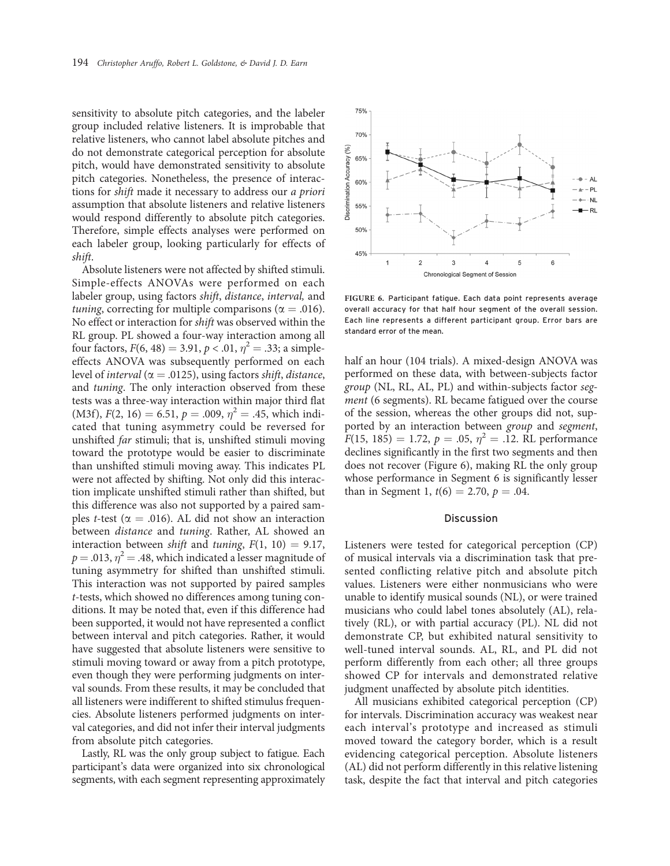sensitivity to absolute pitch categories, and the labeler group included relative listeners. It is improbable that relative listeners, who cannot label absolute pitches and do not demonstrate categorical perception for absolute pitch, would have demonstrated sensitivity to absolute pitch categories. Nonetheless, the presence of interactions for shift made it necessary to address our a priori assumption that absolute listeners and relative listeners would respond differently to absolute pitch categories. Therefore, simple effects analyses were performed on each labeler group, looking particularly for effects of shift.

Absolute listeners were not affected by shifted stimuli. Simple-effects ANOVAs were performed on each labeler group, using factors shift, distance, interval, and *tuning*, correcting for multiple comparisons ( $\alpha = .016$ ). No effect or interaction for shift was observed within the RL group. PL showed a four-way interaction among all four factors,  $F(6, 48) = 3.91, p < .01, \eta^2 = .33$ ; a simpleeffects ANOVA was subsequently performed on each level of interval ( $\alpha = .0125$ ), using factors shift, distance, and tuning. The only interaction observed from these tests was a three-way interaction within major third flat (M3f),  $F(2, 16) = 6.51$ ,  $p = .009$ ,  $\eta^2 = .45$ , which indicated that tuning asymmetry could be reversed for unshifted far stimuli; that is, unshifted stimuli moving toward the prototype would be easier to discriminate than unshifted stimuli moving away. This indicates PL were not affected by shifting. Not only did this interaction implicate unshifted stimuli rather than shifted, but this difference was also not supported by a paired samples *t*-test ( $\alpha$  = .016). AL did not show an interaction between distance and tuning. Rather, AL showed an interaction between *shift* and *tuning*,  $F(1, 10) = 9.17$ ,  $p = .013$ ,  $\eta^2 = .48$ , which indicated a lesser magnitude of tuning asymmetry for shifted than unshifted stimuli. This interaction was not supported by paired samples t-tests, which showed no differences among tuning conditions. It may be noted that, even if this difference had been supported, it would not have represented a conflict between interval and pitch categories. Rather, it would have suggested that absolute listeners were sensitive to stimuli moving toward or away from a pitch prototype, even though they were performing judgments on interval sounds. From these results, it may be concluded that all listeners were indifferent to shifted stimulus frequencies. Absolute listeners performed judgments on interval categories, and did not infer their interval judgments from absolute pitch categories.

Lastly, RL was the only group subject to fatigue. Each participant's data were organized into six chronological segments, with each segment representing approximately



FIGURE 6. Participant fatigue. Each data point represents average overall accuracy for that half hour segment of the overall session. Each line represents a different participant group. Error bars are standard error of the mean.

half an hour (104 trials). A mixed-design ANOVA was performed on these data, with between-subjects factor group (NL, RL, AL, PL) and within-subjects factor segment (6 segments). RL became fatigued over the course of the session, whereas the other groups did not, supported by an interaction between group and segment,  $F(15, 185) = 1.72, p = .05, \eta^2 = .12$ . RL performance declines significantly in the first two segments and then does not recover (Figure 6), making RL the only group whose performance in Segment 6 is significantly lesser than in Segment 1,  $t(6) = 2.70$ ,  $p = .04$ .

## Discussion

Listeners were tested for categorical perception (CP) of musical intervals via a discrimination task that presented conflicting relative pitch and absolute pitch values. Listeners were either nonmusicians who were unable to identify musical sounds (NL), or were trained musicians who could label tones absolutely (AL), relatively (RL), or with partial accuracy (PL). NL did not demonstrate CP, but exhibited natural sensitivity to well-tuned interval sounds. AL, RL, and PL did not perform differently from each other; all three groups showed CP for intervals and demonstrated relative judgment unaffected by absolute pitch identities.

All musicians exhibited categorical perception (CP) for intervals. Discrimination accuracy was weakest near each interval's prototype and increased as stimuli moved toward the category border, which is a result evidencing categorical perception. Absolute listeners (AL) did not perform differently in this relative listening task, despite the fact that interval and pitch categories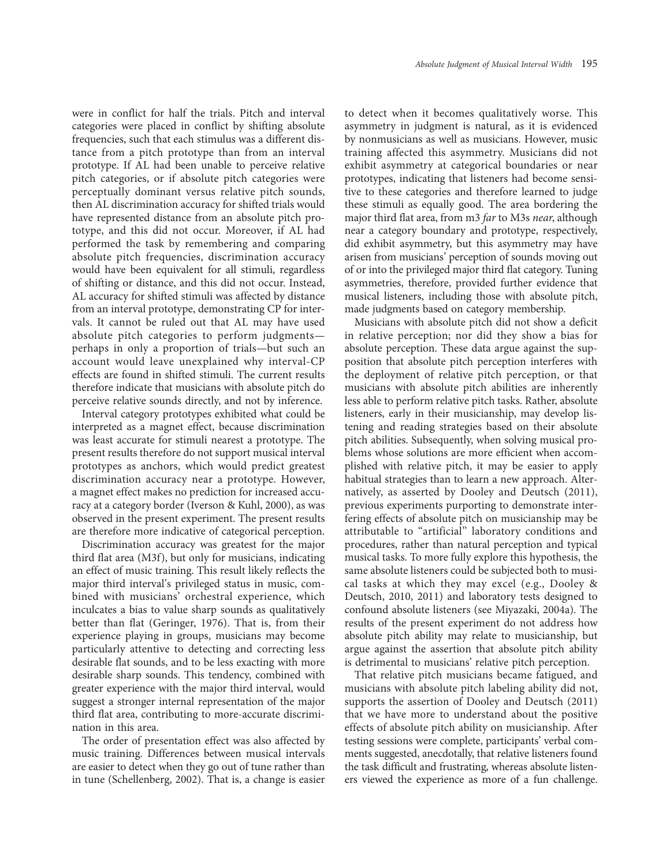were in conflict for half the trials. Pitch and interval categories were placed in conflict by shifting absolute frequencies, such that each stimulus was a different distance from a pitch prototype than from an interval prototype. If AL had been unable to perceive relative pitch categories, or if absolute pitch categories were perceptually dominant versus relative pitch sounds, then AL discrimination accuracy for shifted trials would have represented distance from an absolute pitch prototype, and this did not occur. Moreover, if AL had performed the task by remembering and comparing absolute pitch frequencies, discrimination accuracy would have been equivalent for all stimuli, regardless of shifting or distance, and this did not occur. Instead, AL accuracy for shifted stimuli was affected by distance from an interval prototype, demonstrating CP for intervals. It cannot be ruled out that AL may have used absolute pitch categories to perform judgments perhaps in only a proportion of trials—but such an account would leave unexplained why interval-CP effects are found in shifted stimuli. The current results therefore indicate that musicians with absolute pitch do perceive relative sounds directly, and not by inference.

Interval category prototypes exhibited what could be interpreted as a magnet effect, because discrimination was least accurate for stimuli nearest a prototype. The present results therefore do not support musical interval prototypes as anchors, which would predict greatest discrimination accuracy near a prototype. However, a magnet effect makes no prediction for increased accuracy at a category border (Iverson & Kuhl, 2000), as was observed in the present experiment. The present results are therefore more indicative of categorical perception.

Discrimination accuracy was greatest for the major third flat area (M3f), but only for musicians, indicating an effect of music training. This result likely reflects the major third interval's privileged status in music, combined with musicians' orchestral experience, which inculcates a bias to value sharp sounds as qualitatively better than flat (Geringer, 1976). That is, from their experience playing in groups, musicians may become particularly attentive to detecting and correcting less desirable flat sounds, and to be less exacting with more desirable sharp sounds. This tendency, combined with greater experience with the major third interval, would suggest a stronger internal representation of the major third flat area, contributing to more-accurate discrimination in this area.

The order of presentation effect was also affected by music training. Differences between musical intervals are easier to detect when they go out of tune rather than in tune (Schellenberg, 2002). That is, a change is easier

to detect when it becomes qualitatively worse. This asymmetry in judgment is natural, as it is evidenced by nonmusicians as well as musicians. However, music training affected this asymmetry. Musicians did not exhibit asymmetry at categorical boundaries or near prototypes, indicating that listeners had become sensitive to these categories and therefore learned to judge these stimuli as equally good. The area bordering the major third flat area, from m3 far to M3s near, although near a category boundary and prototype, respectively, did exhibit asymmetry, but this asymmetry may have arisen from musicians' perception of sounds moving out of or into the privileged major third flat category. Tuning asymmetries, therefore, provided further evidence that musical listeners, including those with absolute pitch, made judgments based on category membership.

Musicians with absolute pitch did not show a deficit in relative perception; nor did they show a bias for absolute perception. These data argue against the supposition that absolute pitch perception interferes with the deployment of relative pitch perception, or that musicians with absolute pitch abilities are inherently less able to perform relative pitch tasks. Rather, absolute listeners, early in their musicianship, may develop listening and reading strategies based on their absolute pitch abilities. Subsequently, when solving musical problems whose solutions are more efficient when accomplished with relative pitch, it may be easier to apply habitual strategies than to learn a new approach. Alternatively, as asserted by Dooley and Deutsch (2011), previous experiments purporting to demonstrate interfering effects of absolute pitch on musicianship may be attributable to "artificial" laboratory conditions and procedures, rather than natural perception and typical musical tasks. To more fully explore this hypothesis, the same absolute listeners could be subjected both to musical tasks at which they may excel (e.g., Dooley & Deutsch, 2010, 2011) and laboratory tests designed to confound absolute listeners (see Miyazaki, 2004a). The results of the present experiment do not address how absolute pitch ability may relate to musicianship, but argue against the assertion that absolute pitch ability is detrimental to musicians' relative pitch perception.

That relative pitch musicians became fatigued, and musicians with absolute pitch labeling ability did not, supports the assertion of Dooley and Deutsch (2011) that we have more to understand about the positive effects of absolute pitch ability on musicianship. After testing sessions were complete, participants' verbal comments suggested, anecdotally, that relative listeners found the task difficult and frustrating, whereas absolute listeners viewed the experience as more of a fun challenge.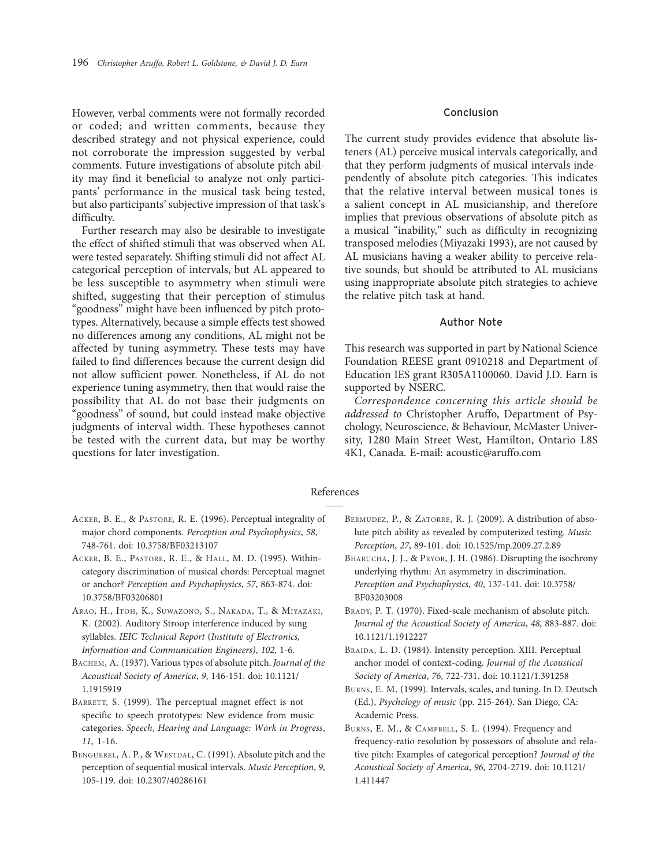However, verbal comments were not formally recorded or coded; and written comments, because they described strategy and not physical experience, could not corroborate the impression suggested by verbal comments. Future investigations of absolute pitch ability may find it beneficial to analyze not only participants' performance in the musical task being tested, but also participants' subjective impression of that task's difficulty.

Further research may also be desirable to investigate the effect of shifted stimuli that was observed when AL were tested separately. Shifting stimuli did not affect AL categorical perception of intervals, but AL appeared to be less susceptible to asymmetry when stimuli were shifted, suggesting that their perception of stimulus "goodness" might have been influenced by pitch prototypes. Alternatively, because a simple effects test showed no differences among any conditions, AL might not be affected by tuning asymmetry. These tests may have failed to find differences because the current design did not allow sufficient power. Nonetheless, if AL do not experience tuning asymmetry, then that would raise the possibility that AL do not base their judgments on 'goodness" of sound, but could instead make objective judgments of interval width. These hypotheses cannot be tested with the current data, but may be worthy questions for later investigation.

# Conclusion

The current study provides evidence that absolute listeners (AL) perceive musical intervals categorically, and that they perform judgments of musical intervals independently of absolute pitch categories. This indicates that the relative interval between musical tones is a salient concept in AL musicianship, and therefore implies that previous observations of absolute pitch as a musical ''inability,'' such as difficulty in recognizing transposed melodies (Miyazaki 1993), are not caused by AL musicians having a weaker ability to perceive relative sounds, but should be attributed to AL musicians using inappropriate absolute pitch strategies to achieve the relative pitch task at hand.

### Author Note

This research was supported in part by National Science Foundation REESE grant 0910218 and Department of Education IES grant R305A1100060. David J.D. Earn is supported by NSERC.

Correspondence concerning this article should be addressed to Christopher Aruffo, Department of Psychology, Neuroscience, & Behaviour, McMaster University, 1280 Main Street West, Hamilton, Ontario L8S 4K1, Canada. E-mail: acoustic@aruffo.com

# References

- ACKER, B. E., & PASTORE, R. E. (1996). Perceptual integrality of major chord components. Perception and Psychophysics, 58, 748-761. doi: 10.3758/BF03213107
- ACKER, B. E., PASTORE, R. E., & HALL, M. D. (1995). Withincategory discrimination of musical chords: Perceptual magnet or anchor? Perception and Psychophysics, 57, 863-874. doi: 10.3758/BF03206801
- ARAO, H., ITOH, K., SUWAZONO, S., NAKADA, T., & MIYAZAKI, K. (2002). Auditory Stroop interference induced by sung syllables. IEIC Technical Report (Institute of Electronics, Information and Communication Engineers), 102, 1-6.
- BACHEM, A. (1937). Various types of absolute pitch. Journal of the Acoustical Society of America, 9, 146-151. doi: 10.1121/ 1.1915919
- BARRETT, S. (1999). The perceptual magnet effect is not specific to speech prototypes: New evidence from music categories. Speech, Hearing and Language: Work in Progress, 11, 1-16.
- BENGUEREL, A. P., & WESTDAL, C. (1991). Absolute pitch and the perception of sequential musical intervals. Music Perception, 9, 105-119. doi: 10.2307/40286161
- BERMUDEZ, P., & ZATORRE, R. J. (2009). A distribution of absolute pitch ability as revealed by computerized testing. Music Perception, 27, 89-101. doi: 10.1525/mp.2009.27.2.89
- BHARUCHA, J. J., & PRYOR, J. H. (1986). Disrupting the isochrony underlying rhythm: An asymmetry in discrimination. Perception and Psychophysics, 40, 137-141. doi: 10.3758/ BF03203008
- BRADY, P. T. (1970). Fixed-scale mechanism of absolute pitch. Journal of the Acoustical Society of America, 48, 883-887. doi: 10.1121/1.1912227
- BRAIDA, L. D. (1984). Intensity perception. XIII. Perceptual anchor model of context-coding. Journal of the Acoustical Society of America, 76, 722-731. doi: 10.1121/1.391258
- BURNS, E. M. (1999). Intervals, scales, and tuning. In D. Deutsch (Ed.), Psychology of music (pp. 215-264). San Diego, CA: Academic Press.
- BURNS, E. M., & CAMPBELL, S. L. (1994). Frequency and frequency-ratio resolution by possessors of absolute and relative pitch: Examples of categorical perception? Journal of the Acoustical Society of America, 96, 2704-2719. doi: 10.1121/ 1.411447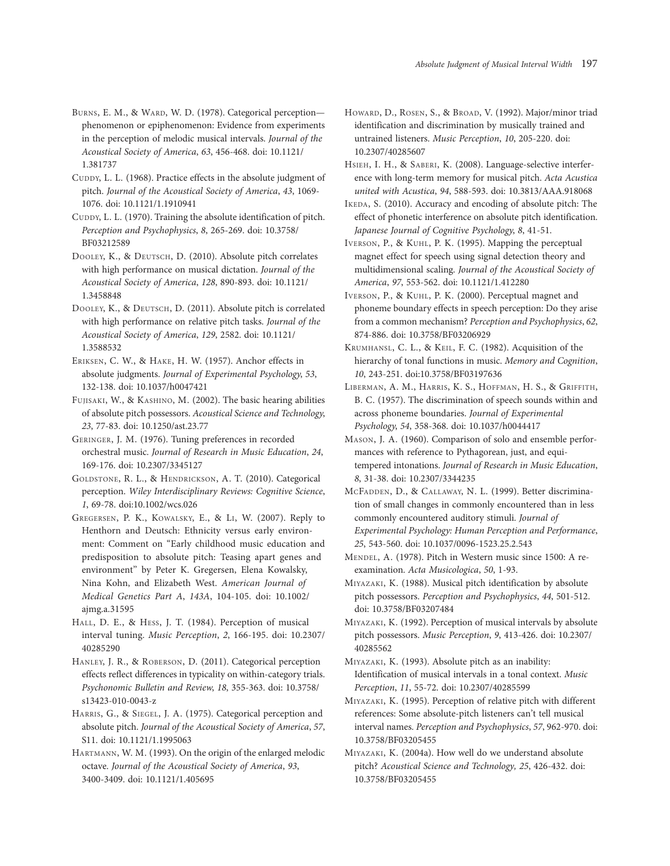BURNS, E. M., & WARD, W. D. (1978). Categorical perception phenomenon or epiphenomenon: Evidence from experiments in the perception of melodic musical intervals. Journal of the Acoustical Society of America, 63, 456-468. doi: 10.1121/ 1.381737

CUDDY, L. L. (1968). Practice effects in the absolute judgment of pitch. Journal of the Acoustical Society of America, 43, 1069- 1076. doi: 10.1121/1.1910941

CUDDY, L. L. (1970). Training the absolute identification of pitch. Perception and Psychophysics, 8, 265-269. doi: 10.3758/ BF03212589

DOOLEY, K., & DEUTSCH, D. (2010). Absolute pitch correlates with high performance on musical dictation. Journal of the Acoustical Society of America, 128, 890-893. doi: 10.1121/ 1.3458848

DOOLEY, K., & DEUTSCH, D. (2011). Absolute pitch is correlated with high performance on relative pitch tasks. Journal of the Acoustical Society of America, 129, 2582. doi: 10.1121/ 1.3588532

ERIKSEN, C. W., & HAKE, H. W. (1957). Anchor effects in absolute judgments. Journal of Experimental Psychology, 53, 132-138. doi: 10.1037/h0047421

FUJISAKI, W., & KASHINO, M. (2002). The basic hearing abilities of absolute pitch possessors. Acoustical Science and Technology, 23, 77-83. doi: 10.1250/ast.23.77

GERINGER, J. M. (1976). Tuning preferences in recorded orchestral music. Journal of Research in Music Education, 24, 169-176. doi: 10.2307/3345127

GOLDSTONE, R. L., & HENDRICKSON, A. T. (2010). Categorical perception. Wiley Interdisciplinary Reviews: Cognitive Science, 1, 69-78. doi:10.1002/wcs.026

GREGERSEN, P. K., KOWALSKY, E., & LI, W. (2007). Reply to Henthorn and Deutsch: Ethnicity versus early environment: Comment on "Early childhood music education and predisposition to absolute pitch: Teasing apart genes and environment'' by Peter K. Gregersen, Elena Kowalsky, Nina Kohn, and Elizabeth West. American Journal of Medical Genetics Part A, 143A, 104-105. doi: 10.1002/ ajmg.a.31595

HALL, D. E., & HESS, J. T. (1984). Perception of musical interval tuning. Music Perception, 2, 166-195. doi: 10.2307/ 40285290

HANLEY, J. R., & ROBERSON, D. (2011). Categorical perception effects reflect differences in typicality on within-category trials. Psychonomic Bulletin and Review, 18, 355-363. doi: 10.3758/ s13423-010-0043-z

HARRIS, G., & SIEGEL, J. A. (1975). Categorical perception and absolute pitch. Journal of the Acoustical Society of America, 57, S11. doi: 10.1121/1.1995063

HARTMANN, W. M. (1993). On the origin of the enlarged melodic octave. Journal of the Acoustical Society of America, 93, 3400-3409. doi: 10.1121/1.405695

HOWARD, D., ROSEN, S., & BROAD, V. (1992). Major/minor triad identification and discrimination by musically trained and untrained listeners. Music Perception, 10, 205-220. doi: 10.2307/40285607

HSIEH, I. H., & SABERI, K. (2008). Language-selective interference with long-term memory for musical pitch. Acta Acustica united with Acustica, 94, 588-593. doi: 10.3813/AAA.918068

IKEDA, S. (2010). Accuracy and encoding of absolute pitch: The effect of phonetic interference on absolute pitch identification. Japanese Journal of Cognitive Psychology, 8, 41-51.

IVERSON, P., & KUHL, P. K. (1995). Mapping the perceptual magnet effect for speech using signal detection theory and multidimensional scaling. Journal of the Acoustical Society of America, 97, 553-562. doi: 10.1121/1.412280

IVERSON, P., & KUHL, P. K. (2000). Perceptual magnet and phoneme boundary effects in speech perception: Do they arise from a common mechanism? Perception and Psychophysics, 62, 874-886. doi: 10.3758/BF03206929

KRUMHANSL, C. L., & KEIL, F. C. (1982). Acquisition of the hierarchy of tonal functions in music. Memory and Cognition, 10, 243-251. doi:10.3758/BF03197636

LIBERMAN, A. M., HARRIS, K. S., HOFFMAN, H. S., & GRIFFITH, B. C. (1957). The discrimination of speech sounds within and across phoneme boundaries. Journal of Experimental Psychology, 54, 358-368. doi: 10.1037/h0044417

MASON, J. A. (1960). Comparison of solo and ensemble performances with reference to Pythagorean, just, and equitempered intonations. Journal of Research in Music Education, 8, 31-38. doi: 10.2307/3344235

MCFADDEN, D., & CALLAWAY, N. L. (1999). Better discrimination of small changes in commonly encountered than in less commonly encountered auditory stimuli. Journal of Experimental Psychology: Human Perception and Performance, 25, 543-560. doi: 10.1037/0096-1523.25.2.543

MENDEL, A. (1978). Pitch in Western music since 1500: A reexamination. Acta Musicologica, 50, 1-93.

MIYAZAKI, K. (1988). Musical pitch identification by absolute pitch possessors. Perception and Psychophysics, 44, 501-512. doi: 10.3758/BF03207484

MIYAZAKI, K. (1992). Perception of musical intervals by absolute pitch possessors. Music Perception, 9, 413-426. doi: 10.2307/ 40285562

MIYAZAKI, K. (1993). Absolute pitch as an inability: Identification of musical intervals in a tonal context. Music Perception, 11, 55-72. doi: 10.2307/40285599

MIYAZAKI, K. (1995). Perception of relative pitch with different references: Some absolute-pitch listeners can't tell musical interval names. Perception and Psychophysics, 57, 962-970. doi: 10.3758/BF03205455

MIYAZAKI, K. (2004a). How well do we understand absolute pitch? Acoustical Science and Technology, 25, 426-432. doi: 10.3758/BF03205455